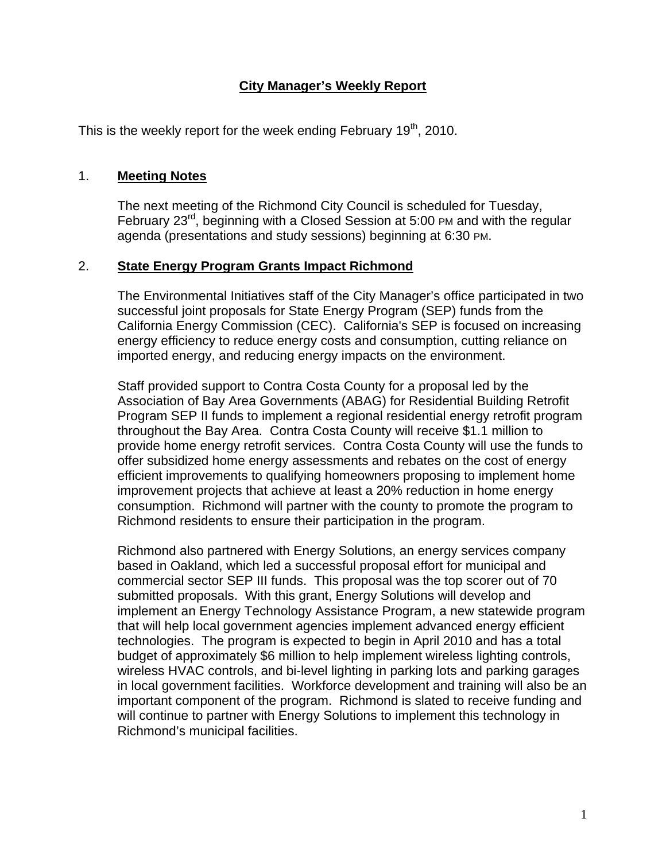### **City Manager's Weekly Report**

This is the weekly report for the week ending February  $19<sup>th</sup>$ , 2010.

#### 1. **Meeting Notes**

The next meeting of the Richmond City Council is scheduled for Tuesday, February  $23<sup>rd</sup>$ , beginning with a Closed Session at 5:00 PM and with the regular agenda (presentations and study sessions) beginning at 6:30 PM.

#### 2. **State Energy Program Grants Impact Richmond**

The Environmental Initiatives staff of the City Manager's office participated in two successful joint proposals for State Energy Program (SEP) funds from the California Energy Commission (CEC). California's SEP is focused on increasing energy efficiency to reduce energy costs and consumption, cutting reliance on imported energy, and reducing energy impacts on the environment.

Staff provided support to Contra Costa County for a proposal led by the Association of Bay Area Governments (ABAG) for Residential Building Retrofit Program SEP II funds to implement a regional residential energy retrofit program throughout the Bay Area. Contra Costa County will receive \$1.1 million to provide home energy retrofit services. Contra Costa County will use the funds to offer subsidized home energy assessments and rebates on the cost of energy efficient improvements to qualifying homeowners proposing to implement home improvement projects that achieve at least a 20% reduction in home energy consumption. Richmond will partner with the county to promote the program to Richmond residents to ensure their participation in the program.

Richmond also partnered with Energy Solutions, an energy services company based in Oakland, which led a successful proposal effort for municipal and commercial sector SEP III funds. This proposal was the top scorer out of 70 submitted proposals. With this grant, Energy Solutions will develop and implement an Energy Technology Assistance Program, a new statewide program that will help local government agencies implement advanced energy efficient technologies. The program is expected to begin in April 2010 and has a total budget of approximately \$6 million to help implement wireless lighting controls, wireless HVAC controls, and bi-level lighting in parking lots and parking garages in local government facilities. Workforce development and training will also be an important component of the program. Richmond is slated to receive funding and will continue to partner with Energy Solutions to implement this technology in Richmond's municipal facilities.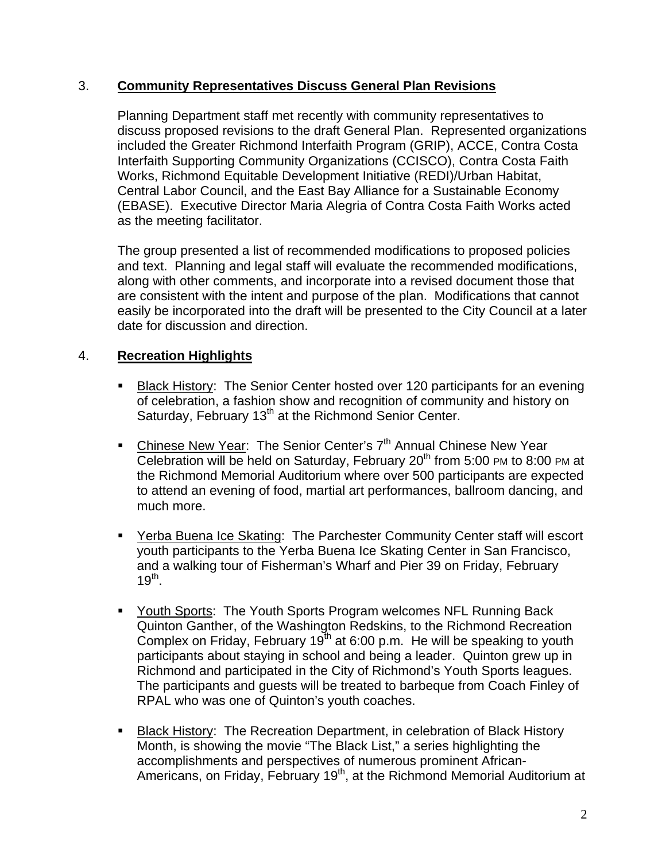#### 3. **Community Representatives Discuss General Plan Revisions**

Planning Department staff met recently with community representatives to discuss proposed revisions to the draft General Plan. Represented organizations included the Greater Richmond Interfaith Program (GRIP), ACCE, Contra Costa Interfaith Supporting Community Organizations (CCISCO), Contra Costa Faith Works, Richmond Equitable Development Initiative (REDI)/Urban Habitat, Central Labor Council, and the East Bay Alliance for a Sustainable Economy (EBASE). Executive Director Maria Alegria of Contra Costa Faith Works acted as the meeting facilitator.

The group presented a list of recommended modifications to proposed policies and text. Planning and legal staff will evaluate the recommended modifications, along with other comments, and incorporate into a revised document those that are consistent with the intent and purpose of the plan. Modifications that cannot easily be incorporated into the draft will be presented to the City Council at a later date for discussion and direction.

## 4. **Recreation Highlights**

- **Black History: The Senior Center hosted over 120 participants for an evening** of celebration, a fashion show and recognition of community and history on Saturday, February 13<sup>th</sup> at the Richmond Senior Center.
- Chinese New Year: The Senior Center's 7<sup>th</sup> Annual Chinese New Year Celebration will be held on Saturday, February  $20<sup>th</sup>$  from 5:00 PM to 8:00 PM at the Richmond Memorial Auditorium where over 500 participants are expected to attend an evening of food, martial art performances, ballroom dancing, and much more.
- Yerba Buena Ice Skating: The Parchester Community Center staff will escort youth participants to the Yerba Buena Ice Skating Center in San Francisco, and a walking tour of Fisherman's Wharf and Pier 39 on Friday, February  $19^{th}$ .
- Youth Sports: The Youth Sports Program welcomes NFL Running Back Quinton Ganther, of the Washington Redskins, to the Richmond Recreation Complex on Friday, February  $19<sup>th</sup>$  at 6:00 p.m. He will be speaking to youth participants about staying in school and being a leader. Quinton grew up in Richmond and participated in the City of Richmond's Youth Sports leagues. The participants and guests will be treated to barbeque from Coach Finley of RPAL who was one of Quinton's youth coaches.
- **Black History: The Recreation Department, in celebration of Black History** Month, is showing the movie "The Black List," a series highlighting the accomplishments and perspectives of numerous prominent African-Americans, on Friday, February 19<sup>th</sup>, at the Richmond Memorial Auditorium at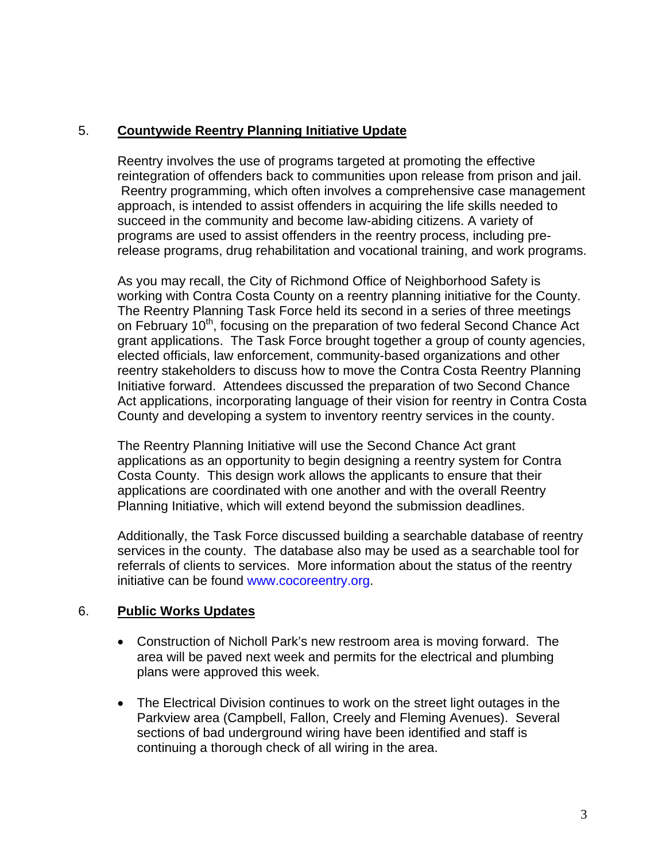# 5. **Countywide Reentry Planning Initiative Update**

Reentry involves the use of programs targeted at promoting the effective reintegration of offenders back to communities upon release from prison and jail. Reentry programming, which often involves a comprehensive case management approach, is intended to assist offenders in acquiring the life skills needed to succeed in the community and become law-abiding citizens. A variety of programs are used to assist offenders in the reentry process, including prerelease programs, drug rehabilitation and vocational training, and work programs.

As you may recall, the City of Richmond Office of Neighborhood Safety is working with Contra Costa County on a reentry planning initiative for the County. The Reentry Planning Task Force held its second in a series of three meetings on February 10<sup>th</sup>, focusing on the preparation of two federal Second Chance Act grant applications. The Task Force brought together a group of county agencies, elected officials, law enforcement, community-based organizations and other reentry stakeholders to discuss how to move the Contra Costa Reentry Planning Initiative forward. Attendees discussed the preparation of two Second Chance Act applications, incorporating language of their vision for reentry in Contra Costa County and developing a system to inventory reentry services in the county.

The Reentry Planning Initiative will use the Second Chance Act grant applications as an opportunity to begin designing a reentry system for Contra Costa County. This design work allows the applicants to ensure that their applications are coordinated with one another and with the overall Reentry Planning Initiative, which will extend beyond the submission deadlines.

Additionally, the Task Force discussed building a searchable database of reentry services in the county. The database also may be used as a searchable tool for referrals of clients to services. More information about the status of the reentry initiative can be found [www.cocoreentry.org](http://www.cocoreentry.org/).

## 6. **Public Works Updates**

- Construction of Nicholl Park's new restroom area is moving forward. The area will be paved next week and permits for the electrical and plumbing plans were approved this week.
- The Electrical Division continues to work on the street light outages in the Parkview area (Campbell, Fallon, Creely and Fleming Avenues). Several sections of bad underground wiring have been identified and staff is continuing a thorough check of all wiring in the area.